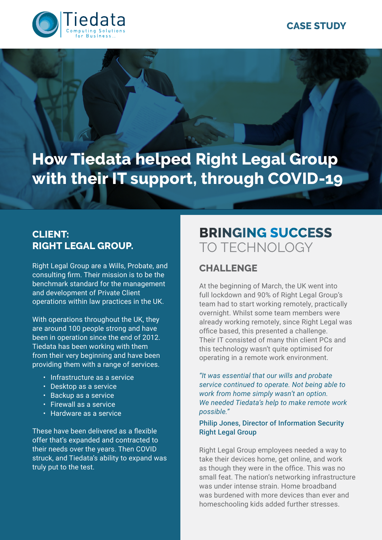# **CASE STUDY**



**How Tiedata helped Right Legal Group with their IT support, through COVID-19** 

# **CLIENT: RIGHT LEGAL GROUP.**

Right Legal Group are a Wills, Probate, and consulting firm. Their mission is to be the benchmark standard for the management and development of Private Client operations within law practices in the UK.

With operations throughout the UK, they are around 100 people strong and have been in operation since the end of 2012. Tiedata has been working with them from their very beginning and have been providing them with a range of services.

- Infrastructure as a service
- Desktop as a service
- Backup as a service
- Firewall as a service
- Hardware as a service

These have been delivered as a flexible offer that's expanded and contracted to their needs over the years. Then COVID struck, and Tiedata's ability to expand was truly put to the test.

# **BRINGING SUCCESS**  TO TECHNOLOGY

#### **CHALLENGE**

At the beginning of March, the UK went into full lockdown and 90% of Right Legal Group's team had to start working remotely, practically overnight. Whilst some team members were already working remotely, since Right Legal was office based, this presented a challenge. Their IT consisted of many thin client PCs and this technology wasn't quite optimised for operating in a remote work environment.

*"It was essential that our wills and probate service continued to operate. Not being able to work from home simply wasn't an option. We needed Tiedata's help to make remote work possible."*

Philip Jones, Director of Information Security Right Legal Group

Right Legal Group employees needed a way to take their devices home, get online, and work as though they were in the office. This was no small feat. The nation's networking infrastructure was under intense strain. Home broadband was burdened with more devices than ever and homeschooling kids added further stresses.